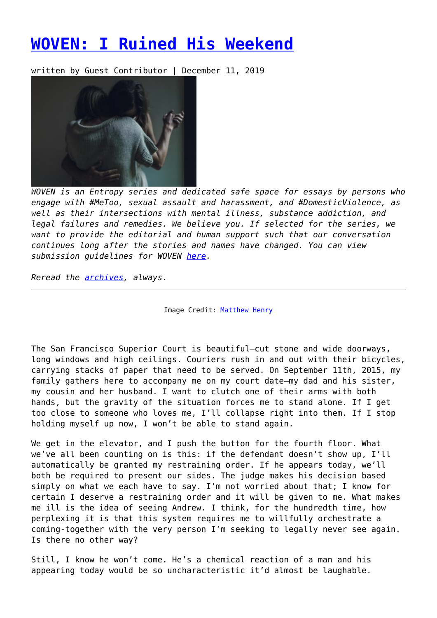## **[WOVEN: I Ruined His Weekend](https://entropymag.org/woven-i-ruined-his-weekend/)**

written by Guest Contributor | December 11, 2019



*WOVEN is an Entropy series and dedicated safe space for essays by persons who engage with #MeToo, sexual assault and harassment, and #DomesticViolence, as well as their intersections with mental illness, substance addiction, and legal failures and remedies. We believe you. If selected for the series, we want to provide the editorial and human support such that our conversation continues long after the stories and names have changed. You can view submission guidelines for WOVEN [here.](https://entropymag.org/woven-call-for-submissions/)*

*Reread the [archives](https://entropymag.org/tag/woven/), always.* 

Image Credit: [Matthew Henry](https://unsplash.com/@matthewhenry?utm_source=unsplash&utm_medium=referral&utm_content=creditCopyText)

The San Francisco Superior Court is beautiful—cut stone and wide doorways, long windows and high ceilings. Couriers rush in and out with their bicycles, carrying stacks of paper that need to be served. On September 11th, 2015, my family gathers here to accompany me on my court date—my dad and his sister, my cousin and her husband. I want to clutch one of their arms with both hands, but the gravity of the situation forces me to stand alone. If I get too close to someone who loves me, I'll collapse right into them. If I stop holding myself up now, I won't be able to stand again.

We get in the elevator, and I push the button for the fourth floor. What we've all been counting on is this: if the defendant doesn't show up, I'll automatically be granted my restraining order. If he appears today, we'll both be required to present our sides. The judge makes his decision based simply on what we each have to say. I'm not worried about that; I know for certain I deserve a restraining order and it will be given to me. What makes me ill is the idea of seeing Andrew. I think, for the hundredth time, how perplexing it is that this system requires me to willfully orchestrate a coming-together with the very person I'm seeking to legally never see again. Is there no other way?

Still, I know he won't come. He's a chemical reaction of a man and his appearing today would be so uncharacteristic it'd almost be laughable.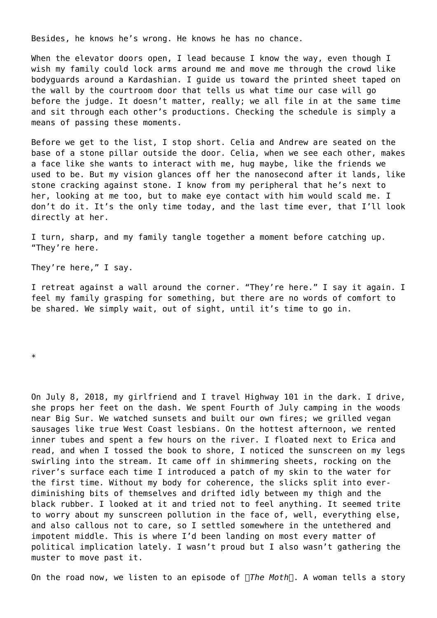Besides, he knows he's wrong. He knows he has no chance.

When the elevator doors open, I lead because I know the way, even though I wish my family could lock arms around me and move me through the crowd like bodyguards around a Kardashian. I guide us toward the printed sheet taped on the wall by the courtroom door that tells us what time our case will go before the judge. It doesn't matter, really; we all file in at the same time and sit through each other's productions. Checking the schedule is simply a means of passing these moments.

Before we get to the list, I stop short. Celia and Andrew are seated on the base of a stone pillar outside the door. Celia, when we see each other, makes a face like she wants to interact with me, hug maybe, like the friends we used to be. But my vision glances off her the nanosecond after it lands, like stone cracking against stone. I know from my peripheral that he's next to her, looking at me too, but to make eye contact with him would scald me. I don't do it. It's the only time today, and the last time ever, that I'll look directly at her.

I turn, sharp, and my family tangle together a moment before catching up. "They're here.

They're here," I say.

I retreat against a wall around the corner. "They're here." I say it again. I feel my family grasping for something, but there are no words of comfort to be shared. We simply wait, out of sight, until it's time to go in.

\*

On July 8, 2018, my girlfriend and I travel Highway 101 in the dark. I drive, she props her feet on the dash. We spent Fourth of July camping in the woods near Big Sur. We watched sunsets and built our own fires; we grilled vegan sausages like true West Coast lesbians. On the hottest afternoon, we rented inner tubes and spent a few hours on the river. I floated next to Erica and read, and when I tossed the book to shore, I noticed the sunscreen on my legs swirling into the stream. It came off in shimmering sheets, rocking on the river's surface each time I introduced a patch of my skin to the water for the first time. Without my body for coherence, the slicks split into everdiminishing bits of themselves and drifted idly between my thigh and the black rubber. I looked at it and tried not to feel anything. It seemed trite to worry about my sunscreen pollution in the face of, well, everything else, and also callous not to care, so I settled somewhere in the untethered and impotent middle. This is where I'd been landing on most every matter of political implication lately. I wasn't proud but I also wasn't gathering the muster to move past it.

On the road now, we listen to an episode of  $\Box$ The Moth $\Box$ . A woman tells a story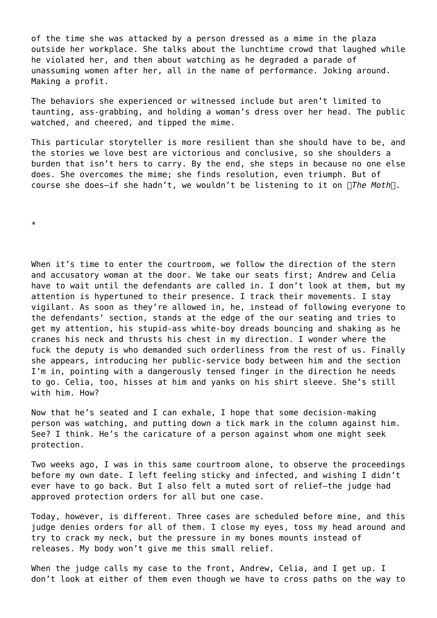of the time she was attacked by a person dressed as a mime in the plaza outside her workplace. She talks about the lunchtime crowd that laughed while he violated her, and then about watching as he degraded a parade of unassuming women after her, all in the name of performance. Joking around. Making a profit.

The behaviors she experienced or witnessed include but aren't limited to taunting, ass-grabbing, and holding a woman's dress over her head. The public watched, and cheered, and tipped the mime.

This particular storyteller is more resilient than she should have to be, and the stories we love best are victorious and conclusive, so she shoulders a burden that isn't hers to carry. By the end, she steps in because no one else does. She overcomes the mime; she finds resolution, even triumph. But of course she does-if she hadn't, we wouldn't be listening to it on *The Moth*.

\*

When it's time to enter the courtroom, we follow the direction of the stern and accusatory woman at the door. We take our seats first; Andrew and Celia have to wait until the defendants are called in. I don't look at them, but my attention is hypertuned to their presence. I track their movements. I stay vigilant. As soon as they're allowed in, he, instead of following everyone to the defendants' section, stands at the edge of the our seating and tries to get my attention, his stupid-ass white-boy dreads bouncing and shaking as he cranes his neck and thrusts his chest in my direction. I wonder where the fuck the deputy is who demanded such orderliness from the rest of us. Finally she appears, introducing her public-service body between him and the section I'm in, pointing with a dangerously tensed finger in the direction he needs to go. Celia, too, hisses at him and yanks on his shirt sleeve. She's still with him. How?

Now that he's seated and I can exhale, I hope that some decision-making person was watching, and putting down a tick mark in the column against him. See? I think. He's the caricature of a person against whom one might seek protection.

Two weeks ago, I was in this same courtroom alone, to observe the proceedings before my own date. I left feeling sticky and infected, and wishing I didn't ever have to go back. But I also felt a muted sort of relief—the judge had approved protection orders for all but one case.

Today, however, is different. Three cases are scheduled before mine, and this judge denies orders for all of them. I close my eyes, toss my head around and try to crack my neck, but the pressure in my bones mounts instead of releases. My body won't give me this small relief.

When the judge calls my case to the front, Andrew, Celia, and I get up. I don't look at either of them even though we have to cross paths on the way to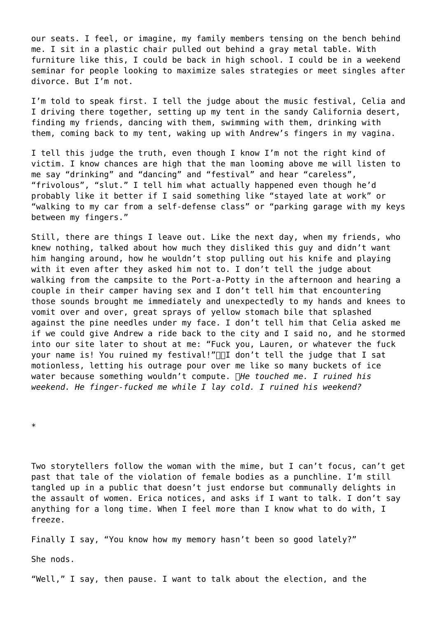our seats. I feel, or imagine, my family members tensing on the bench behind me. I sit in a plastic chair pulled out behind a gray metal table. With furniture like this, I could be back in high school. I could be in a weekend seminar for people looking to maximize sales strategies or meet singles after divorce. But I'm not.

I'm told to speak first. I tell the judge about the music festival, Celia and I driving there together, setting up my tent in the sandy California desert, finding my friends, dancing with them, swimming with them, drinking with them, coming back to my tent, waking up with Andrew's fingers in my vagina.

I tell this judge the truth, even though I know I'm not the right kind of victim. I know chances are high that the man looming above me will listen to me say "drinking" and "dancing" and "festival" and hear "careless", "frivolous", "slut." I tell him what actually happened even though he'd probably like it better if I said something like "stayed late at work" or "walking to my car from a self-defense class" or "parking garage with my keys between my fingers."

Still, there are things I leave out. Like the next day, when my friends, who knew nothing, talked about how much they disliked this guy and didn't want him hanging around, how he wouldn't stop pulling out his knife and playing with it even after they asked him not to. I don't tell the judge about walking from the campsite to the Port-a-Potty in the afternoon and hearing a couple in their camper having sex and I don't tell him that encountering those sounds brought me immediately and unexpectedly to my hands and knees to vomit over and over, great sprays of yellow stomach bile that splashed against the pine needles under my face. I don't tell him that Celia asked me if we could give Andrew a ride back to the city and I said no, and he stormed into our site later to shout at me: "Fuck you, Lauren, or whatever the fuck your name is! You ruined my festival!" $\Box$  don't tell the judge that I sat motionless, letting his outrage pour over me like so many buckets of ice water because something wouldn't compute. *He touched me. I ruined his weekend. He finger-fucked me while I lay cold. I ruined his weekend?*

\*

Two storytellers follow the woman with the mime, but I can't focus, can't get past that tale of the violation of female bodies as a punchline. I'm still tangled up in a public that doesn't just endorse but communally delights in the assault of women. Erica notices, and asks if I want to talk. I don't say anything for a long time. When I feel more than I know what to do with, I freeze.

Finally I say, "You know how my memory hasn't been so good lately?"

She nods.

"Well," I say, then pause. I want to talk about the election, and the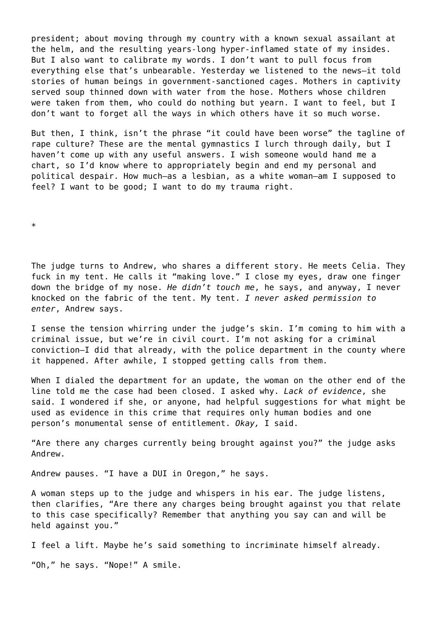president; about moving through my country with a known sexual assailant at the helm, and the resulting years-long hyper-inflamed state of my insides. But I also want to calibrate my words. I don't want to pull focus from everything else that's unbearable. Yesterday we listened to the news—it told stories of human beings in government-sanctioned cages. Mothers in captivity served soup thinned down with water from the hose. Mothers whose children were taken from them, who could do nothing but yearn. I want to feel, but I don't want to forget all the ways in which others have it so much worse.

But then, I think, isn't the phrase "it could have been worse" the tagline of rape culture? These are the mental gymnastics I lurch through daily, but I haven't come up with any useful answers. I wish someone would hand me a chart, so I'd know where to appropriately begin and end my personal and political despair. How much—as a lesbian, as a white woman—am I supposed to feel? I want to be good; I want to do my trauma right.

\*

The judge turns to Andrew, who shares a different story. He meets Celia. They fuck in my tent. He calls it "making love." I close my eyes, draw one finger down the bridge of my nose. *He didn't touch me*, he says, and anyway, I never knocked on the fabric of the tent. My tent. *I never asked permission to enter*, Andrew says.

I sense the tension whirring under the judge's skin. I'm coming to him with a criminal issue, but we're in civil court. I'm not asking for a criminal conviction—I did that already, with the police department in the county where it happened. After awhile, I stopped getting calls from them.

When I dialed the department for an update, the woman on the other end of the line told me the case had been closed. I asked why. *Lack of evidence*, she said. I wondered if she, or anyone, had helpful suggestions for what might be used as evidence in this crime that requires only human bodies and one person's monumental sense of entitlement. *Okay,* I said.

"Are there any charges currently being brought against you?" the judge asks Andrew.

Andrew pauses. "I have a DUI in Oregon," he says.

A woman steps up to the judge and whispers in his ear. The judge listens, then clarifies, "Are there any charges being brought against you that relate to this case specifically? Remember that anything you say can and will be held against you."

I feel a lift. Maybe he's said something to incriminate himself already.

"Oh," he says. "Nope!" A smile.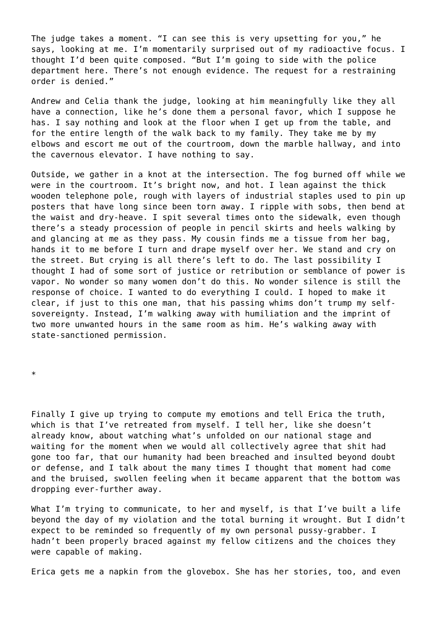The judge takes a moment. "I can see this is very upsetting for you," he says, looking at me. I'm momentarily surprised out of my radioactive focus. I thought I'd been quite composed. "But I'm going to side with the police department here. There's not enough evidence. The request for a restraining order is denied."

Andrew and Celia thank the judge, looking at him meaningfully like they all have a connection, like he's done them a personal favor, which I suppose he has. I say nothing and look at the floor when I get up from the table, and for the entire length of the walk back to my family. They take me by my elbows and escort me out of the courtroom, down the marble hallway, and into the cavernous elevator. I have nothing to say.

Outside, we gather in a knot at the intersection. The fog burned off while we were in the courtroom. It's bright now, and hot. I lean against the thick wooden telephone pole, rough with layers of industrial staples used to pin up posters that have long since been torn away. I ripple with sobs, then bend at the waist and dry-heave. I spit several times onto the sidewalk, even though there's a steady procession of people in pencil skirts and heels walking by and glancing at me as they pass. My cousin finds me a tissue from her bag, hands it to me before I turn and drape myself over her. We stand and cry on the street. But crying is all there's left to do. The last possibility I thought I had of some sort of justice or retribution or semblance of power is vapor. No wonder so many women don't do this. No wonder silence is still the response of choice. I wanted to do everything I could. I hoped to make it clear, if just to this one man, that his passing whims don't trump my selfsovereignty. Instead, I'm walking away with humiliation and the imprint of two more unwanted hours in the same room as him. He's walking away with state-sanctioned permission.

\*

Finally I give up trying to compute my emotions and tell Erica the truth, which is that I've retreated from myself. I tell her, like she doesn't already know, about watching what's unfolded on our national stage and waiting for the moment when we would all collectively agree that shit had gone too far, that our humanity had been breached and insulted beyond doubt or defense, and I talk about the many times I thought that moment had come and the bruised, swollen feeling when it became apparent that the bottom was dropping ever-further away.

What I'm trying to communicate, to her and myself, is that I've built a life beyond the day of my violation and the total burning it wrought. But I didn't expect to be reminded so frequently of my own personal pussy-grabber. I hadn't been properly braced against my fellow citizens and the choices they were capable of making.

Erica gets me a napkin from the glovebox. She has her stories, too, and even